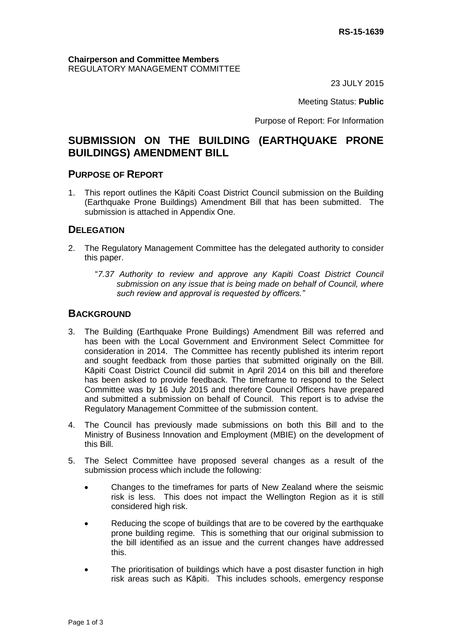23 JULY 2015

Meeting Status: **Public**

Purpose of Report: For Information

# **SUBMISSION ON THE BUILDING (EARTHQUAKE PRONE BUILDINGS) AMENDMENT BILL**

## **PURPOSE OF REPORT**

1. This report outlines the Kāpiti Coast District Council submission on the Building (Earthquake Prone Buildings) Amendment Bill that has been submitted. The submission is attached in Appendix One.

## **DELEGATION**

- 2. The Regulatory Management Committee has the delegated authority to consider this paper.
	- "*7.37 Authority to review and approve any Kapiti Coast District Council submission on any issue that is being made on behalf of Council, where such review and approval is requested by officers."*

## **BACKGROUND**

- 3. The Building (Earthquake Prone Buildings) Amendment Bill was referred and has been with the Local Government and Environment Select Committee for consideration in 2014. The Committee has recently published its interim report and sought feedback from those parties that submitted originally on the Bill. Kāpiti Coast District Council did submit in April 2014 on this bill and therefore has been asked to provide feedback. The timeframe to respond to the Select Committee was by 16 July 2015 and therefore Council Officers have prepared and submitted a submission on behalf of Council. This report is to advise the Regulatory Management Committee of the submission content.
- 4. The Council has previously made submissions on both this Bill and to the Ministry of Business Innovation and Employment (MBIE) on the development of this Bill.
- 5. The Select Committee have proposed several changes as a result of the submission process which include the following:
	- Changes to the timeframes for parts of New Zealand where the seismic risk is less. This does not impact the Wellington Region as it is still considered high risk.
	- Reducing the scope of buildings that are to be covered by the earthquake prone building regime. This is something that our original submission to the bill identified as an issue and the current changes have addressed this.
	- The prioritisation of buildings which have a post disaster function in high risk areas such as Kāpiti. This includes schools, emergency response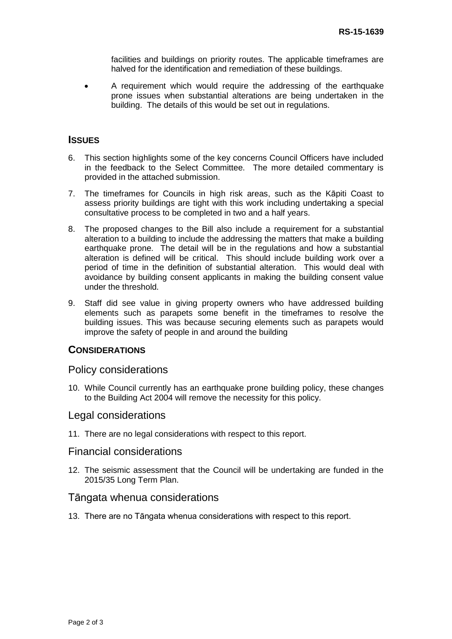facilities and buildings on priority routes. The applicable timeframes are halved for the identification and remediation of these buildings.

 A requirement which would require the addressing of the earthquake prone issues when substantial alterations are being undertaken in the building. The details of this would be set out in regulations.

### **ISSUES**

- 6. This section highlights some of the key concerns Council Officers have included in the feedback to the Select Committee. The more detailed commentary is provided in the attached submission.
- 7. The timeframes for Councils in high risk areas, such as the Kāpiti Coast to assess priority buildings are tight with this work including undertaking a special consultative process to be completed in two and a half years.
- 8. The proposed changes to the Bill also include a requirement for a substantial alteration to a building to include the addressing the matters that make a building earthquake prone. The detail will be in the regulations and how a substantial alteration is defined will be critical. This should include building work over a period of time in the definition of substantial alteration. This would deal with avoidance by building consent applicants in making the building consent value under the threshold.
- 9. Staff did see value in giving property owners who have addressed building elements such as parapets some benefit in the timeframes to resolve the building issues. This was because securing elements such as parapets would improve the safety of people in and around the building

#### **CONSIDERATIONS**

#### Policy considerations

10. While Council currently has an earthquake prone building policy, these changes to the Building Act 2004 will remove the necessity for this policy.

### Legal considerations

11. There are no legal considerations with respect to this report.

#### Financial considerations

12. The seismic assessment that the Council will be undertaking are funded in the 2015/35 Long Term Plan.

## Tāngata whenua considerations

13. There are no Tāngata whenua considerations with respect to this report.